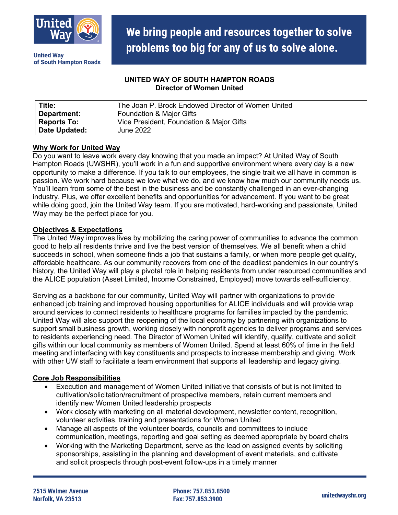

**United Wav** of South Hampton Roads

## **UNITED WAY OF SOUTH HAMPTON ROADS Director of Women United**

| Title:             | The Joan P. Brock Endowed Director of Women United |
|--------------------|----------------------------------------------------|
| Department:        | Foundation & Major Gifts                           |
| <b>Reports To:</b> | Vice President, Foundation & Major Gifts           |
| Date Updated:      | June 2022                                          |

## **Why Work for United Way**

Do you want to leave work every day knowing that you made an impact? At United Way of South Hampton Roads (UWSHR), you'll work in a fun and supportive environment where every day is a new opportunity to make a difference. If you talk to our employees, the single trait we all have in common is passion. We work hard because we love what we do, and we know how much our community needs us. You'll learn from some of the best in the business and be constantly challenged in an ever-changing industry. Plus, we offer excellent benefits and opportunities for advancement. If you want to be great while doing good, join the United Way team. If you are motivated, hard-working and passionate, United Way may be the perfect place for you.

## **Objectives & Expectations**

The United Way improves lives by mobilizing the caring power of communities to advance the common good to help all residents thrive and live the best version of themselves. We all benefit when a child succeeds in school, when someone finds a job that sustains a family, or when more people get quality, affordable healthcare. As our community recovers from one of the deadliest pandemics in our country's history, the United Way will play a pivotal role in helping residents from under resourced communities and the ALICE population (Asset Limited, Income Constrained, Employed) move towards self-sufficiency.

Serving as a backbone for our community, United Way will partner with organizations to provide enhanced job training and improved housing opportunities for ALICE individuals and will provide wrap around services to connect residents to healthcare programs for families impacted by the pandemic. United Way will also support the reopening of the local economy by partnering with organizations to support small business growth, working closely with nonprofit agencies to deliver programs and services to residents experiencing need. The Director of Women United will identify, qualify, cultivate and solicit gifts within our local community as members of Women United. Spend at least 60% of time in the field meeting and interfacing with key constituents and prospects to increase membership and giving. Work with other UW staff to facilitate a team environment that supports all leadership and legacy giving.

# **Core Job Responsibilities**

- Execution and management of Women United initiative that consists of but is not limited to cultivation/solicitation/recruitment of prospective members, retain current members and identify new Women United leadership prospects
- Work closely with marketing on all material development, newsletter content, recognition, volunteer activities, training and presentations for Women United
- Manage all aspects of the volunteer boards, councils and committees to include communication, meetings, reporting and goal setting as deemed appropriate by board chairs
- Working with the Marketing Department, serve as the lead on assigned events by soliciting sponsorships, assisting in the planning and development of event materials, and cultivate and solicit prospects through post-event follow-ups in a timely manner